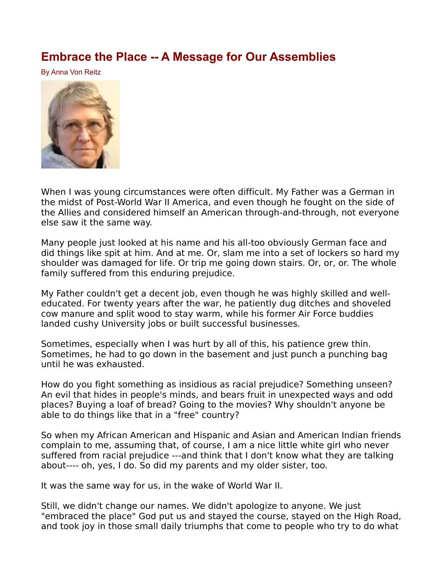## **[Embrace the Place -- A Message for Our Assemblies](http://www.paulstramer.net/2021/05/embrace-place-message-for-our-assemblies.html)**

By Anna Von Reitz



When I was young circumstances were often difficult. My Father was a German in the midst of Post-World War II America, and even though he fought on the side of the Allies and considered himself an American through-and-through, not everyone else saw it the same way.

Many people just looked at his name and his all-too obviously German face and did things like spit at him. And at me. Or, slam me into a set of lockers so hard my shoulder was damaged for life. Or trip me going down stairs. Or, or, or. The whole family suffered from this enduring prejudice.

My Father couldn't get a decent job, even though he was highly skilled and welleducated. For twenty years after the war, he patiently dug ditches and shoveled cow manure and split wood to stay warm, while his former Air Force buddies landed cushy University jobs or built successful businesses.

Sometimes, especially when I was hurt by all of this, his patience grew thin. Sometimes, he had to go down in the basement and just punch a punching bag until he was exhausted.

How do you fight something as insidious as racial prejudice? Something unseen? An evil that hides in people's minds, and bears fruit in unexpected ways and odd places? Buying a loaf of bread? Going to the movies? Why shouldn't anyone be able to do things like that in a "free" country?

So when my African American and Hispanic and Asian and American Indian friends complain to me, assuming that, of course, I am a nice little white girl who never suffered from racial prejudice ---and think that I don't know what they are talking about---- oh, yes, I do. So did my parents and my older sister, too.

It was the same way for us, in the wake of World War II.

Still, we didn't change our names. We didn't apologize to anyone. We just "embraced the place" God put us and stayed the course, stayed on the High Road, and took joy in those small daily triumphs that come to people who try to do what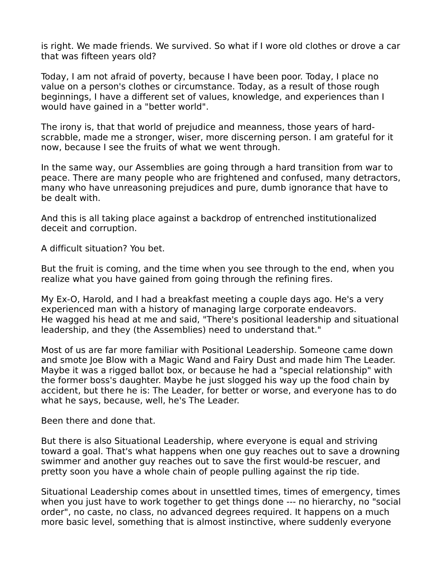is right. We made friends. We survived. So what if I wore old clothes or drove a car that was fifteen years old?

Today, I am not afraid of poverty, because I have been poor. Today, I place no value on a person's clothes or circumstance. Today, as a result of those rough beginnings, I have a different set of values, knowledge, and experiences than I would have gained in a "better world".

The irony is, that that world of prejudice and meanness, those years of hardscrabble, made me a stronger, wiser, more discerning person. I am grateful for it now, because I see the fruits of what we went through.

In the same way, our Assemblies are going through a hard transition from war to peace. There are many people who are frightened and confused, many detractors, many who have unreasoning prejudices and pure, dumb ignorance that have to be dealt with.

And this is all taking place against a backdrop of entrenched institutionalized deceit and corruption.

A difficult situation? You bet.

But the fruit is coming, and the time when you see through to the end, when you realize what you have gained from going through the refining fires.

My Ex-O, Harold, and I had a breakfast meeting a couple days ago. He's a very experienced man with a history of managing large corporate endeavors. He wagged his head at me and said, "There's positional leadership and situational leadership, and they (the Assemblies) need to understand that."

Most of us are far more familiar with Positional Leadership. Someone came down and smote Joe Blow with a Magic Wand and Fairy Dust and made him The Leader. Maybe it was a rigged ballot box, or because he had a "special relationship" with the former boss's daughter. Maybe he just slogged his way up the food chain by accident, but there he is: The Leader, for better or worse, and everyone has to do what he says, because, well, he's The Leader.

Been there and done that.

But there is also Situational Leadership, where everyone is equal and striving toward a goal. That's what happens when one guy reaches out to save a drowning swimmer and another guy reaches out to save the first would-be rescuer, and pretty soon you have a whole chain of people pulling against the rip tide.

Situational Leadership comes about in unsettled times, times of emergency, times when you just have to work together to get things done --- no hierarchy, no "social order", no caste, no class, no advanced degrees required. It happens on a much more basic level, something that is almost instinctive, where suddenly everyone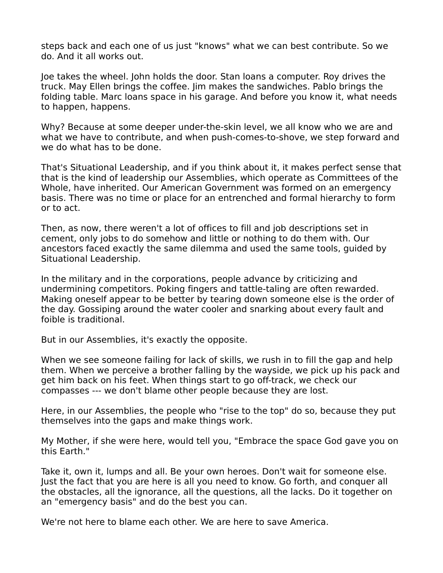steps back and each one of us just "knows" what we can best contribute. So we do. And it all works out.

Joe takes the wheel. John holds the door. Stan loans a computer. Roy drives the truck. May Ellen brings the coffee. Jim makes the sandwiches. Pablo brings the folding table. Marc loans space in his garage. And before you know it, what needs to happen, happens.

Why? Because at some deeper under-the-skin level, we all know who we are and what we have to contribute, and when push-comes-to-shove, we step forward and we do what has to be done.

That's Situational Leadership, and if you think about it, it makes perfect sense that that is the kind of leadership our Assemblies, which operate as Committees of the Whole, have inherited. Our American Government was formed on an emergency basis. There was no time or place for an entrenched and formal hierarchy to form or to act.

Then, as now, there weren't a lot of offices to fill and job descriptions set in cement, only jobs to do somehow and little or nothing to do them with. Our ancestors faced exactly the same dilemma and used the same tools, guided by Situational Leadership.

In the military and in the corporations, people advance by criticizing and undermining competitors. Poking fingers and tattle-taling are often rewarded. Making oneself appear to be better by tearing down someone else is the order of the day. Gossiping around the water cooler and snarking about every fault and foible is traditional.

But in our Assemblies, it's exactly the opposite.

When we see someone failing for lack of skills, we rush in to fill the gap and help them. When we perceive a brother falling by the wayside, we pick up his pack and get him back on his feet. When things start to go off-track, we check our compasses --- we don't blame other people because they are lost.

Here, in our Assemblies, the people who "rise to the top" do so, because they put themselves into the gaps and make things work.

My Mother, if she were here, would tell you, "Embrace the space God gave you on this Earth."

Take it, own it, lumps and all. Be your own heroes. Don't wait for someone else. Just the fact that you are here is all you need to know. Go forth, and conquer all the obstacles, all the ignorance, all the questions, all the lacks. Do it together on an "emergency basis" and do the best you can.

We're not here to blame each other. We are here to save America.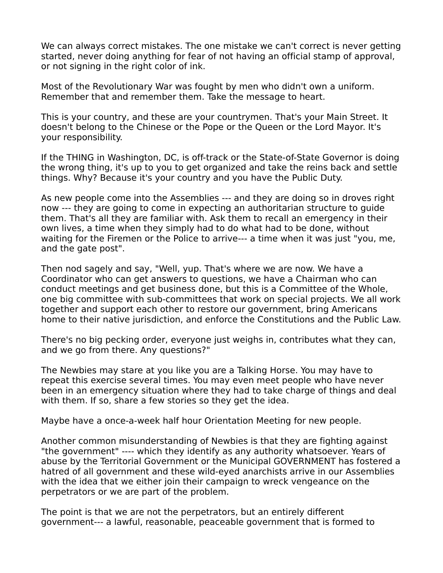We can always correct mistakes. The one mistake we can't correct is never getting started, never doing anything for fear of not having an official stamp of approval, or not signing in the right color of ink.

Most of the Revolutionary War was fought by men who didn't own a uniform. Remember that and remember them. Take the message to heart.

This is your country, and these are your countrymen. That's your Main Street. It doesn't belong to the Chinese or the Pope or the Queen or the Lord Mayor. It's your responsibility.

If the THING in Washington, DC, is off-track or the State-of-State Governor is doing the wrong thing, it's up to you to get organized and take the reins back and settle things. Why? Because it's your country and you have the Public Duty.

As new people come into the Assemblies --- and they are doing so in droves right now --- they are going to come in expecting an authoritarian structure to guide them. That's all they are familiar with. Ask them to recall an emergency in their own lives, a time when they simply had to do what had to be done, without waiting for the Firemen or the Police to arrive--- a time when it was just "you, me, and the gate post".

Then nod sagely and say, "Well, yup. That's where we are now. We have a Coordinator who can get answers to questions, we have a Chairman who can conduct meetings and get business done, but this is a Committee of the Whole, one big committee with sub-committees that work on special projects. We all work together and support each other to restore our government, bring Americans home to their native jurisdiction, and enforce the Constitutions and the Public Law.

There's no big pecking order, everyone just weighs in, contributes what they can, and we go from there. Any questions?"

The Newbies may stare at you like you are a Talking Horse. You may have to repeat this exercise several times. You may even meet people who have never been in an emergency situation where they had to take charge of things and deal with them. If so, share a few stories so they get the idea.

Maybe have a once-a-week half hour Orientation Meeting for new people.

Another common misunderstanding of Newbies is that they are fighting against "the government" ---- which they identify as any authority whatsoever. Years of abuse by the Territorial Government or the Municipal GOVERNMENT has fostered a hatred of all government and these wild-eyed anarchists arrive in our Assemblies with the idea that we either join their campaign to wreck vengeance on the perpetrators or we are part of the problem.

The point is that we are not the perpetrators, but an entirely different government--- a lawful, reasonable, peaceable government that is formed to